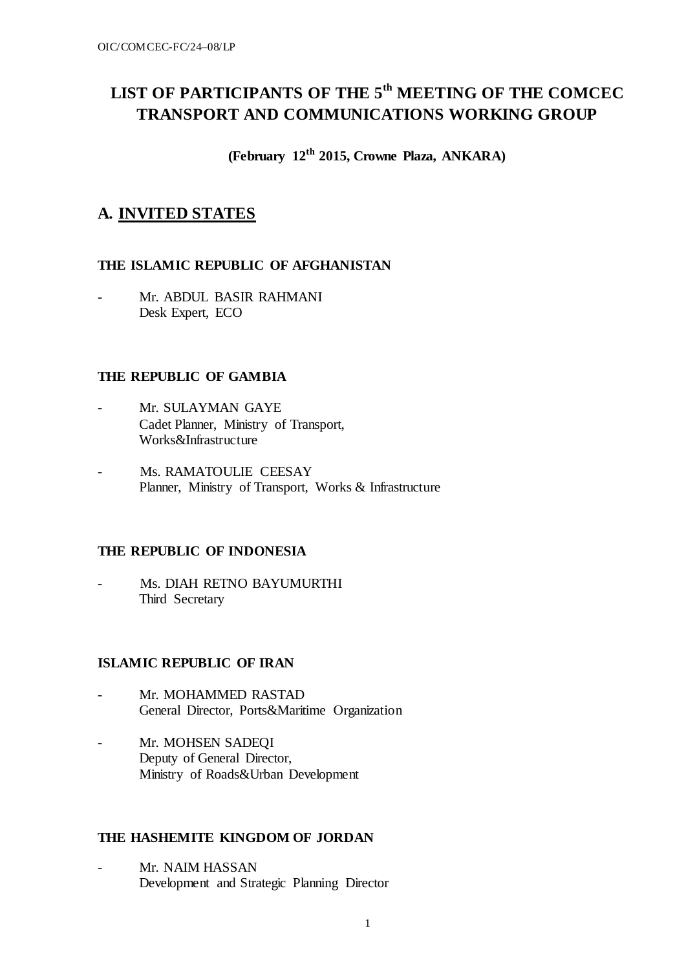# **LIST OF PARTICIPANTS OF THE 5th MEETING OF THE COMCEC TRANSPORT AND COMMUNICATIONS WORKING GROUP**

**(February 12th 2015, Crowne Plaza, ANKARA)**

# **A. INVITED STATES**

# **THE ISLAMIC REPUBLIC OF AFGHANISTAN**

Mr. ABDUL BASIR RAHMANI Desk Expert, ECO

# **THE REPUBLIC OF GAMBIA**

- Mr. SULAYMAN GAYE Cadet Planner, Ministry of Transport, Works&Infrastructure
- Ms. RAMATOULIE CEESAY Planner, Ministry of Transport, Works & Infrastructure

# **THE REPUBLIC OF INDONESIA**

Ms. DIAH RETNO BAYUMURTHI Third Secretary

# **ISLAMIC REPUBLIC OF IRAN**

- Mr. MOHAMMED RASTAD General Director, Ports&Maritime Organization
- Mr. MOHSEN SADEQI Deputy of General Director, Ministry of Roads&Urban Development

### **THE [HASHEMITE](http://en.wikipedia.org/wiki/Hashemite) KINGDOM OF JORDAN**

Mr. NAIM HASSAN Development and Strategic Planning Director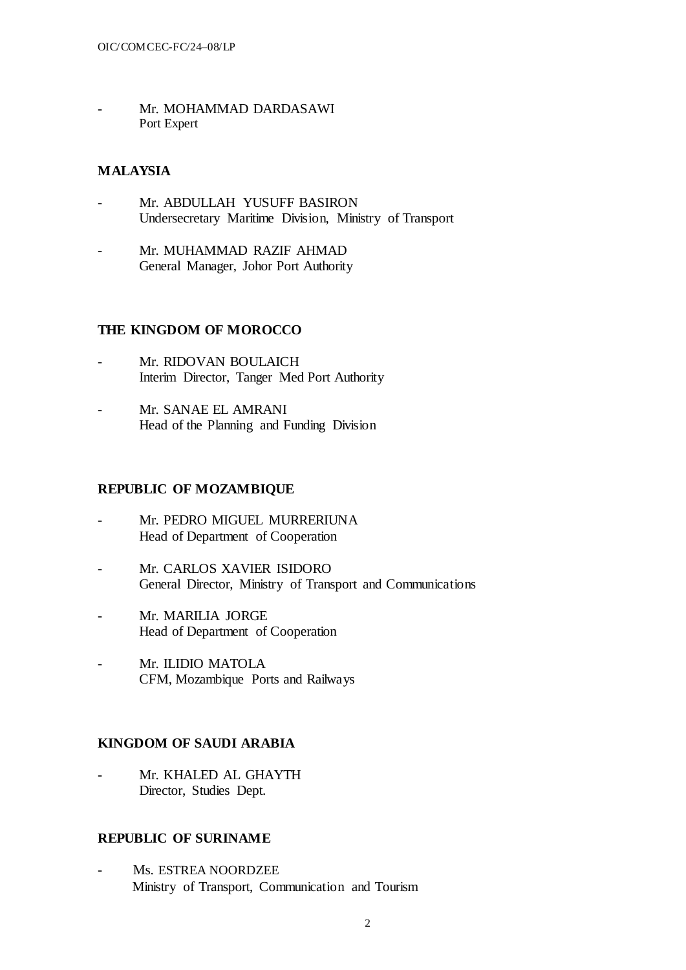Mr. MOHAMMAD DARDASAWI Port Expert

# **MALAYSIA**

- Mr. ABDULLAH YUSUFF BASIRON Undersecretary Maritime Division, Ministry of Transport
- Mr. MUHAMMAD RAZIF AHMAD General Manager, Johor Port Authority

### **THE KINGDOM OF MOROCCO**

- Mr. RIDOVAN BOULAICH Interim Director, Tanger Med Port Authority
- Mr. SANAE EL AMRANI Head of the Planning and Funding Division

### **REPUBLIC OF MOZAMBIQUE**

- Mr. PEDRO MIGUEL MURRERIUNA Head of Department of Cooperation
- Mr. CARLOS XAVIER ISIDORO General Director, Ministry of Transport and Communications
- Mr. MARILIA JORGE Head of Department of Cooperation
- Mr. ILIDIO MATOLA CFM, Mozambique Ports and Railways

# **KINGDOM OF SAUDI ARABIA**

Mr. KHALED AL GHAYTH Director, Studies Dept.

### **REPUBLIC OF SURINAME**

Ms. ESTREA NOORDZEE Ministry of Transport, Communication and Tourism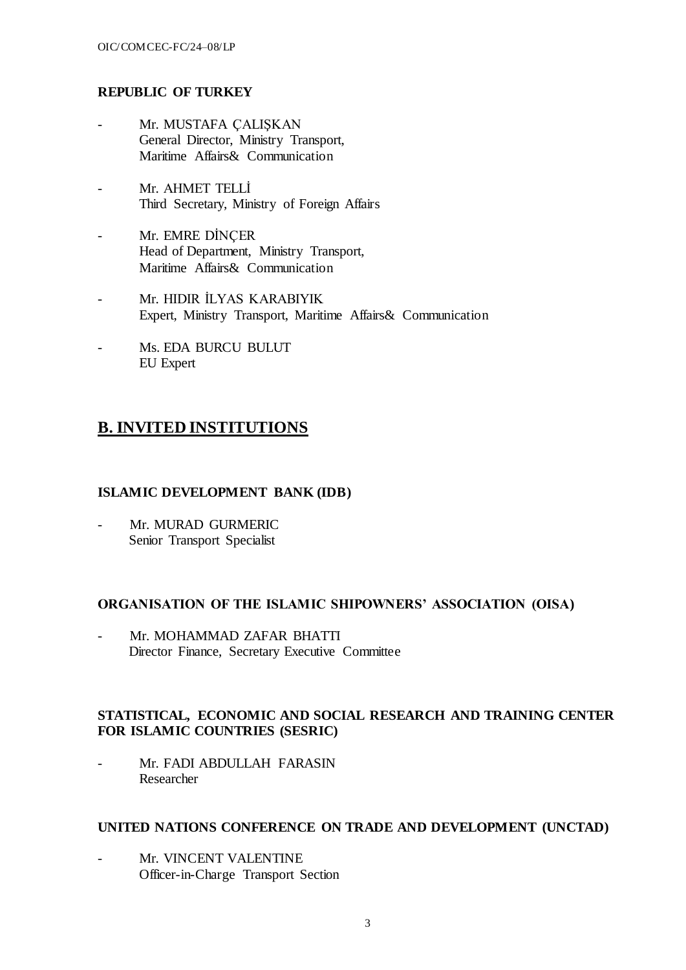# **REPUBLIC OF TURKEY**

- Mr. MUSTAFA ÇALIŞKAN General Director, Ministry Transport, Maritime Affairs& Communication
- Mr. AHMET TELLİ Third Secretary, Ministry of Foreign Affairs
- Mr. EMRE DİNÇER Head of Department, Ministry Transport, Maritime Affairs& Communication
- Mr. HIDIR İLYAS KARABIYIK Expert, Ministry Transport, Maritime Affairs& Communication
- Ms. EDA BURCU BULUT EU Expert

# **B. INVITED INSTITUTIONS**

### **ISLAMIC DEVELOPMENT BANK (IDB)**

Mr. MURAD GURMERIC Senior Transport Specialist

# **ORGANISATION OF THE ISLAMIC SHIPOWNERS' ASSOCIATION (OISA)**

Mr. MOHAMMAD ZAFAR BHATTI Director Finance, Secretary Executive Committee

# **STATISTICAL, ECONOMIC AND SOCIAL RESEARCH AND TRAINING CENTER FOR ISLAMIC COUNTRIES (SESRIC)**

Mr. FADI ABDULLAH FARASIN Researcher

#### **UNITED NATIONS CONFERENCE ON TRADE AND DEVELOPMENT (UNCTAD)**

Mr. VINCENT VALENTINE Officer-in-Charge Transport Section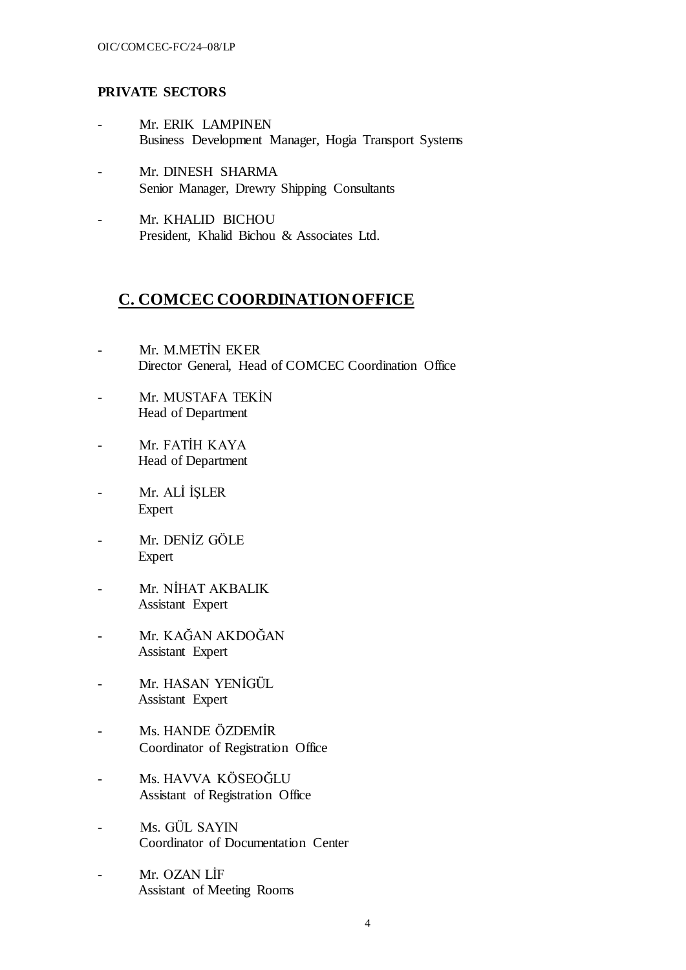### **PRIVATE SECTORS**

- Mr. ERIK LAMPINEN Business Development Manager, Hogia Transport Systems
- Mr. DINESH SHARMA Senior Manager, Drewry Shipping Consultants
- Mr. KHALID BICHOU President, Khalid Bichou & Associates Ltd.

# **C. COMCEC COORDINATION OFFICE**

- Mr. M.METİN EKER Director General, Head of COMCEC Coordination Office
- Mr. MUSTAFA TEKİN Head of Department
- Mr. FATİH KAYA Head of Department
- Mr. ALİ İŞLER Expert
- Mr. DENİZ GÖLE Expert
- Mr. NİHAT AKBALIK Assistant Expert
- Mr. KAĞAN AKDOĞAN Assistant Expert
- Mr. HASAN YENİGÜL Assistant Expert
- Ms. HANDE ÖZDEMİR Coordinator of Registration Office
- Ms. HAVVA KÖSEOĞLU Assistant of Registration Office
- Ms. GÜL SAYIN Coordinator of Documentation Center
- Mr. OZAN LİF Assistant of Meeting Rooms